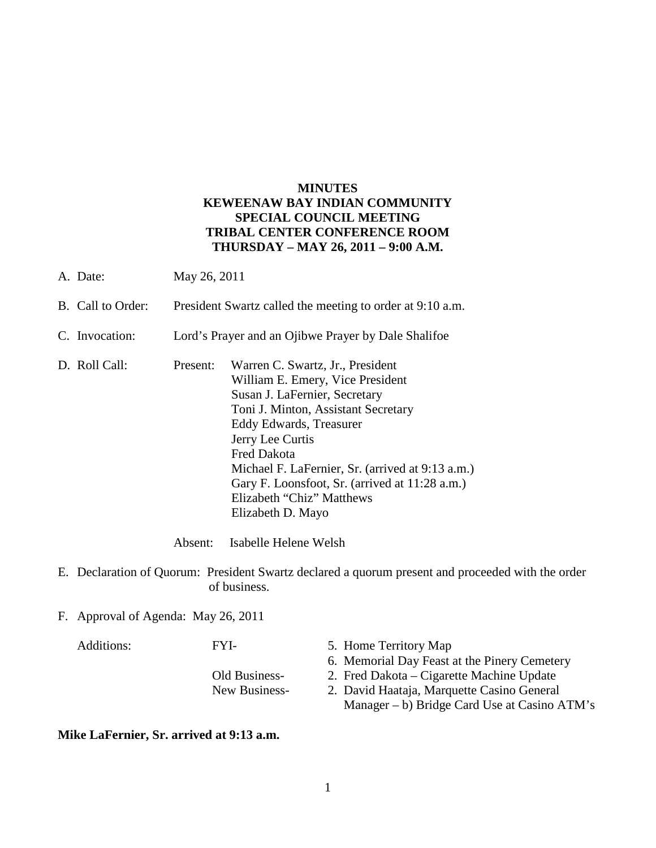## **MINUTES KEWEENAW BAY INDIAN COMMUNITY SPECIAL COUNCIL MEETING TRIBAL CENTER CONFERENCE ROOM THURSDAY – MAY 26, 2011 – 9:00 A.M.**

- A. Date: May 26, 2011
- B. Call to Order: President Swartz called the meeting to order at 9:10 a.m.
- C. Invocation: Lord's Prayer and an Ojibwe Prayer by Dale Shalifoe
- D. Roll Call: Present: Warren C. Swartz, Jr., President William E. Emery, Vice President Susan J. LaFernier, Secretary Toni J. Minton, Assistant Secretary Eddy Edwards, Treasurer Jerry Lee Curtis Fred Dakota Michael F. LaFernier, Sr. (arrived at 9:13 a.m.) Gary F. Loonsfoot, Sr. (arrived at 11:28 a.m.) Elizabeth "Chiz" Matthews Elizabeth D. Mayo

Absent: Isabelle Helene Welsh

- E. Declaration of Quorum: President Swartz declared a quorum present and proceeded with the order of business.
- F. Approval of Agenda: May 26, 2011

| Additions: | FYI-          | 5. Home Territory Map                           |
|------------|---------------|-------------------------------------------------|
|            |               | 6. Memorial Day Feast at the Pinery Cemetery    |
|            | Old Business- | 2. Fred Dakota – Cigarette Machine Update       |
|            | New Business- | 2. David Haataja, Marquette Casino General      |
|            |               | Manager $- b$ ) Bridge Card Use at Casino ATM's |

**Mike LaFernier, Sr. arrived at 9:13 a.m.**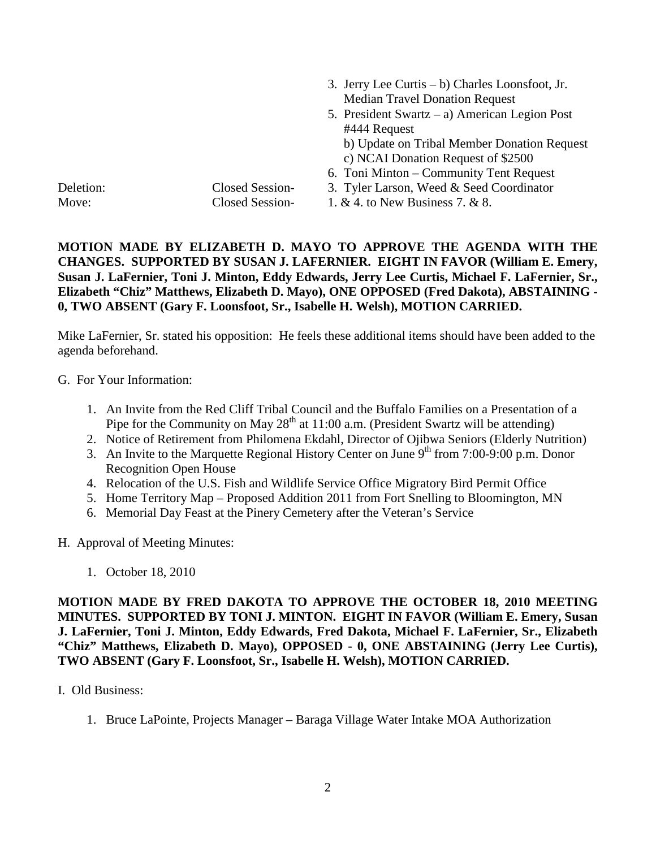|           |                 | 3. Jerry Lee Curtis $- b$ ) Charles Loonsfoot, Jr. |
|-----------|-----------------|----------------------------------------------------|
|           |                 | <b>Median Travel Donation Request</b>              |
|           |                 | 5. President Swartz – a) American Legion Post      |
|           |                 | #444 Request                                       |
|           |                 | b) Update on Tribal Member Donation Request        |
|           |                 | c) NCAI Donation Request of \$2500                 |
|           |                 | 6. Toni Minton – Community Tent Request            |
| Deletion: | Closed Session- | 3. Tyler Larson, Weed & Seed Coordinator           |
| Move:     | Closed Session- | 1. & 4. to New Business 7. & 8.                    |

# **MOTION MADE BY ELIZABETH D. MAYO TO APPROVE THE AGENDA WITH THE CHANGES. SUPPORTED BY SUSAN J. LAFERNIER. EIGHT IN FAVOR (William E. Emery, Susan J. LaFernier, Toni J. Minton, Eddy Edwards, Jerry Lee Curtis, Michael F. LaFernier, Sr., Elizabeth "Chiz" Matthews, Elizabeth D. Mayo), ONE OPPOSED (Fred Dakota), ABSTAINING - 0, TWO ABSENT (Gary F. Loonsfoot, Sr., Isabelle H. Welsh), MOTION CARRIED.**

Mike LaFernier, Sr. stated his opposition: He feels these additional items should have been added to the agenda beforehand.

G. For Your Information:

- 1. An Invite from the Red Cliff Tribal Council and the Buffalo Families on a Presentation of a Pipe for the Community on May  $28<sup>th</sup>$  at 11:00 a.m. (President Swartz will be attending)
- 2. Notice of Retirement from Philomena Ekdahl, Director of Ojibwa Seniors (Elderly Nutrition)
- 3. An Invite to the Marquette Regional History Center on June  $9<sup>th</sup>$  from 7:00-9:00 p.m. Donor Recognition Open House
- 4. Relocation of the U.S. Fish and Wildlife Service Office Migratory Bird Permit Office
- 5. Home Territory Map Proposed Addition 2011 from Fort Snelling to Bloomington, MN
- 6. Memorial Day Feast at the Pinery Cemetery after the Veteran's Service
- H. Approval of Meeting Minutes:
	- 1. October 18, 2010

**MOTION MADE BY FRED DAKOTA TO APPROVE THE OCTOBER 18, 2010 MEETING MINUTES. SUPPORTED BY TONI J. MINTON. EIGHT IN FAVOR (William E. Emery, Susan J. LaFernier, Toni J. Minton, Eddy Edwards, Fred Dakota, Michael F. LaFernier, Sr., Elizabeth "Chiz" Matthews, Elizabeth D. Mayo), OPPOSED - 0, ONE ABSTAINING (Jerry Lee Curtis), TWO ABSENT (Gary F. Loonsfoot, Sr., Isabelle H. Welsh), MOTION CARRIED.**

- I. Old Business:
	- 1. Bruce LaPointe, Projects Manager Baraga Village Water Intake MOA Authorization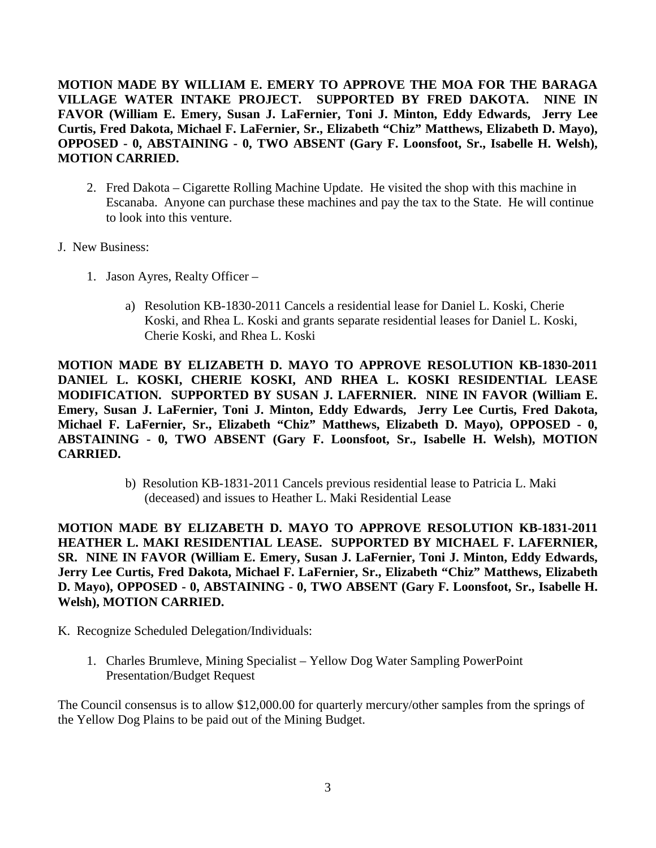**MOTION MADE BY WILLIAM E. EMERY TO APPROVE THE MOA FOR THE BARAGA VILLAGE WATER INTAKE PROJECT. SUPPORTED BY FRED DAKOTA. NINE IN FAVOR (William E. Emery, Susan J. LaFernier, Toni J. Minton, Eddy Edwards, Jerry Lee Curtis, Fred Dakota, Michael F. LaFernier, Sr., Elizabeth "Chiz" Matthews, Elizabeth D. Mayo), OPPOSED - 0, ABSTAINING - 0, TWO ABSENT (Gary F. Loonsfoot, Sr., Isabelle H. Welsh), MOTION CARRIED.**

- 2. Fred Dakota Cigarette Rolling Machine Update. He visited the shop with this machine in Escanaba. Anyone can purchase these machines and pay the tax to the State. He will continue to look into this venture.
- J. New Business:
	- 1. Jason Ayres, Realty Officer
		- a) Resolution KB-1830-2011 Cancels a residential lease for Daniel L. Koski, Cherie Koski, and Rhea L. Koski and grants separate residential leases for Daniel L. Koski, Cherie Koski, and Rhea L. Koski

**MOTION MADE BY ELIZABETH D. MAYO TO APPROVE RESOLUTION KB-1830-2011 DANIEL L. KOSKI, CHERIE KOSKI, AND RHEA L. KOSKI RESIDENTIAL LEASE MODIFICATION. SUPPORTED BY SUSAN J. LAFERNIER. NINE IN FAVOR (William E. Emery, Susan J. LaFernier, Toni J. Minton, Eddy Edwards, Jerry Lee Curtis, Fred Dakota, Michael F. LaFernier, Sr., Elizabeth "Chiz" Matthews, Elizabeth D. Mayo), OPPOSED - 0, ABSTAINING - 0, TWO ABSENT (Gary F. Loonsfoot, Sr., Isabelle H. Welsh), MOTION CARRIED.**

> b) Resolution KB-1831-2011 Cancels previous residential lease to Patricia L. Maki (deceased) and issues to Heather L. Maki Residential Lease

**MOTION MADE BY ELIZABETH D. MAYO TO APPROVE RESOLUTION KB-1831-2011 HEATHER L. MAKI RESIDENTIAL LEASE. SUPPORTED BY MICHAEL F. LAFERNIER, SR. NINE IN FAVOR (William E. Emery, Susan J. LaFernier, Toni J. Minton, Eddy Edwards, Jerry Lee Curtis, Fred Dakota, Michael F. LaFernier, Sr., Elizabeth "Chiz" Matthews, Elizabeth D. Mayo), OPPOSED - 0, ABSTAINING - 0, TWO ABSENT (Gary F. Loonsfoot, Sr., Isabelle H. Welsh), MOTION CARRIED.**

- K. Recognize Scheduled Delegation/Individuals:
	- 1. Charles Brumleve, Mining Specialist Yellow Dog Water Sampling PowerPoint Presentation/Budget Request

The Council consensus is to allow \$12,000.00 for quarterly mercury/other samples from the springs of the Yellow Dog Plains to be paid out of the Mining Budget.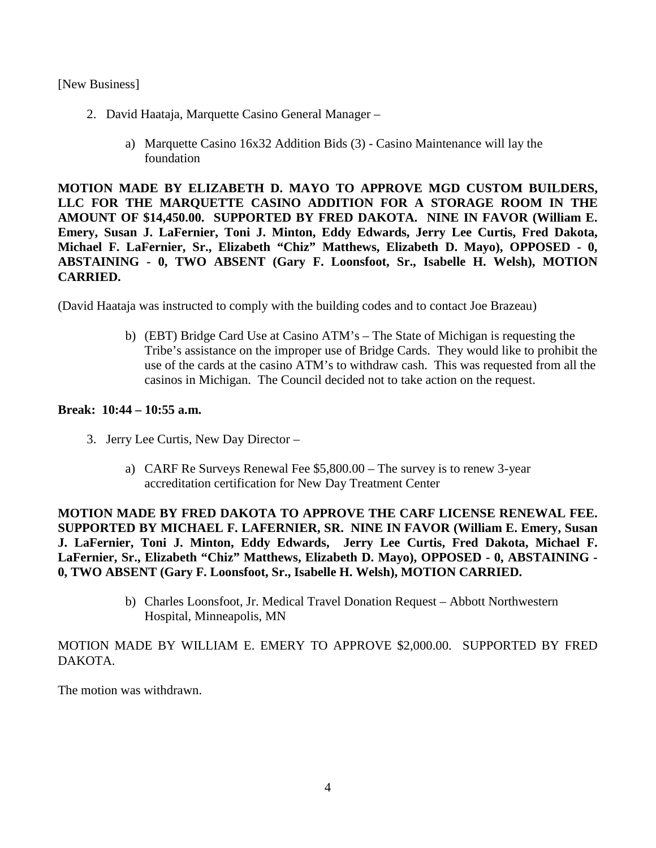- 2. David Haataja, Marquette Casino General Manager
	- a) Marquette Casino 16x32 Addition Bids (3) Casino Maintenance will lay the foundation

**MOTION MADE BY ELIZABETH D. MAYO TO APPROVE MGD CUSTOM BUILDERS, LLC FOR THE MARQUETTE CASINO ADDITION FOR A STORAGE ROOM IN THE AMOUNT OF \$14,450.00. SUPPORTED BY FRED DAKOTA. NINE IN FAVOR (William E. Emery, Susan J. LaFernier, Toni J. Minton, Eddy Edwards, Jerry Lee Curtis, Fred Dakota, Michael F. LaFernier, Sr., Elizabeth "Chiz" Matthews, Elizabeth D. Mayo), OPPOSED - 0, ABSTAINING - 0, TWO ABSENT (Gary F. Loonsfoot, Sr., Isabelle H. Welsh), MOTION CARRIED.**

(David Haataja was instructed to comply with the building codes and to contact Joe Brazeau)

b) (EBT) Bridge Card Use at Casino ATM's – The State of Michigan is requesting the Tribe's assistance on the improper use of Bridge Cards. They would like to prohibit the use of the cards at the casino ATM's to withdraw cash. This was requested from all the casinos in Michigan. The Council decided not to take action on the request.

## **Break: 10:44 – 10:55 a.m.**

- 3. Jerry Lee Curtis, New Day Director
	- a) CARF Re Surveys Renewal Fee \$5,800.00 The survey is to renew 3-year accreditation certification for New Day Treatment Center

**MOTION MADE BY FRED DAKOTA TO APPROVE THE CARF LICENSE RENEWAL FEE. SUPPORTED BY MICHAEL F. LAFERNIER, SR. NINE IN FAVOR (William E. Emery, Susan J. LaFernier, Toni J. Minton, Eddy Edwards, Jerry Lee Curtis, Fred Dakota, Michael F. LaFernier, Sr., Elizabeth "Chiz" Matthews, Elizabeth D. Mayo), OPPOSED - 0, ABSTAINING - 0, TWO ABSENT (Gary F. Loonsfoot, Sr., Isabelle H. Welsh), MOTION CARRIED.**

> b) Charles Loonsfoot, Jr. Medical Travel Donation Request – Abbott Northwestern Hospital, Minneapolis, MN

## MOTION MADE BY WILLIAM E. EMERY TO APPROVE \$2,000.00. SUPPORTED BY FRED DAKOTA.

The motion was withdrawn.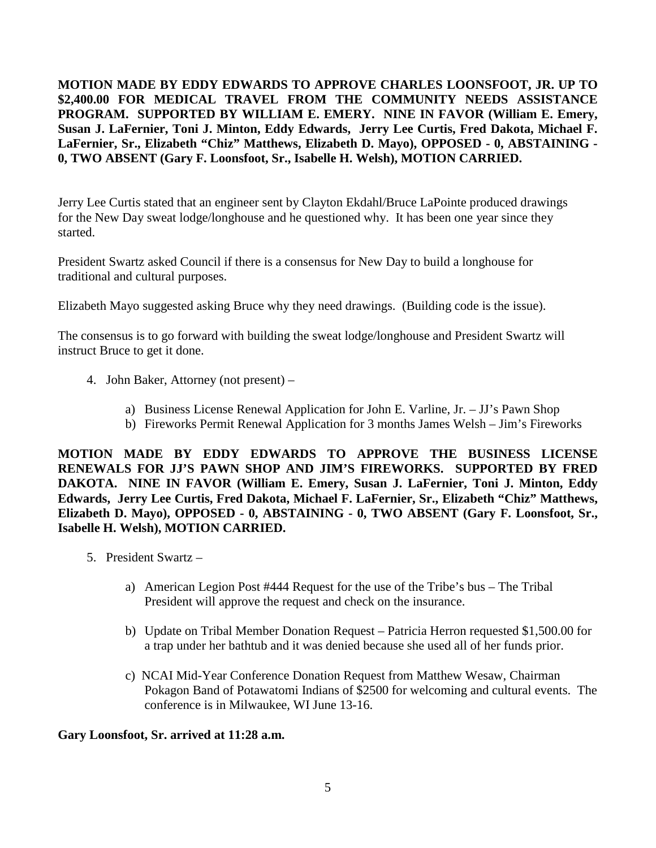**MOTION MADE BY EDDY EDWARDS TO APPROVE CHARLES LOONSFOOT, JR. UP TO \$2,400.00 FOR MEDICAL TRAVEL FROM THE COMMUNITY NEEDS ASSISTANCE PROGRAM. SUPPORTED BY WILLIAM E. EMERY. NINE IN FAVOR (William E. Emery, Susan J. LaFernier, Toni J. Minton, Eddy Edwards, Jerry Lee Curtis, Fred Dakota, Michael F. LaFernier, Sr., Elizabeth "Chiz" Matthews, Elizabeth D. Mayo), OPPOSED - 0, ABSTAINING - 0, TWO ABSENT (Gary F. Loonsfoot, Sr., Isabelle H. Welsh), MOTION CARRIED.**

Jerry Lee Curtis stated that an engineer sent by Clayton Ekdahl/Bruce LaPointe produced drawings for the New Day sweat lodge/longhouse and he questioned why. It has been one year since they started.

President Swartz asked Council if there is a consensus for New Day to build a longhouse for traditional and cultural purposes.

Elizabeth Mayo suggested asking Bruce why they need drawings. (Building code is the issue).

The consensus is to go forward with building the sweat lodge/longhouse and President Swartz will instruct Bruce to get it done.

- 4. John Baker, Attorney (not present)
	- a) Business License Renewal Application for John E. Varline, Jr. JJ's Pawn Shop
	- b) Fireworks Permit Renewal Application for 3 months James Welsh Jim's Fireworks

**MOTION MADE BY EDDY EDWARDS TO APPROVE THE BUSINESS LICENSE RENEWALS FOR JJ'S PAWN SHOP AND JIM'S FIREWORKS. SUPPORTED BY FRED DAKOTA. NINE IN FAVOR (William E. Emery, Susan J. LaFernier, Toni J. Minton, Eddy Edwards, Jerry Lee Curtis, Fred Dakota, Michael F. LaFernier, Sr., Elizabeth "Chiz" Matthews, Elizabeth D. Mayo), OPPOSED - 0, ABSTAINING - 0, TWO ABSENT (Gary F. Loonsfoot, Sr., Isabelle H. Welsh), MOTION CARRIED.**

- 5. President Swartz
	- a) American Legion Post #444 Request for the use of the Tribe's bus The Tribal President will approve the request and check on the insurance.
	- b) Update on Tribal Member Donation Request Patricia Herron requested \$1,500.00 for a trap under her bathtub and it was denied because she used all of her funds prior.
	- c) NCAI Mid-Year Conference Donation Request from Matthew Wesaw, Chairman Pokagon Band of Potawatomi Indians of \$2500 for welcoming and cultural events. The conference is in Milwaukee, WI June 13-16.

#### **Gary Loonsfoot, Sr. arrived at 11:28 a.m.**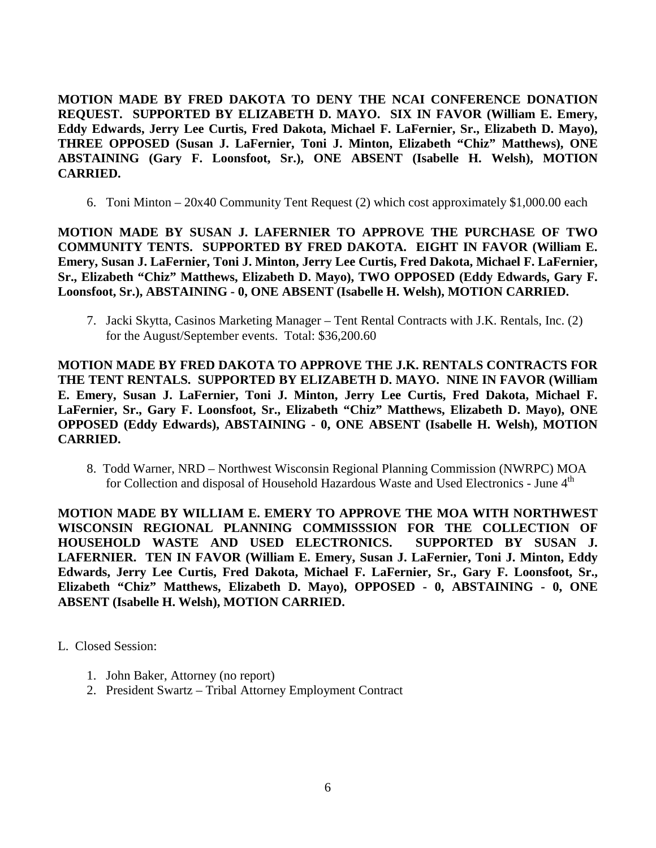**MOTION MADE BY FRED DAKOTA TO DENY THE NCAI CONFERENCE DONATION REQUEST. SUPPORTED BY ELIZABETH D. MAYO. SIX IN FAVOR (William E. Emery, Eddy Edwards, Jerry Lee Curtis, Fred Dakota, Michael F. LaFernier, Sr., Elizabeth D. Mayo), THREE OPPOSED (Susan J. LaFernier, Toni J. Minton, Elizabeth "Chiz" Matthews), ONE ABSTAINING (Gary F. Loonsfoot, Sr.), ONE ABSENT (Isabelle H. Welsh), MOTION CARRIED.**

6. Toni Minton – 20x40 Community Tent Request (2) which cost approximately \$1,000.00 each

**MOTION MADE BY SUSAN J. LAFERNIER TO APPROVE THE PURCHASE OF TWO COMMUNITY TENTS. SUPPORTED BY FRED DAKOTA. EIGHT IN FAVOR (William E. Emery, Susan J. LaFernier, Toni J. Minton, Jerry Lee Curtis, Fred Dakota, Michael F. LaFernier, Sr., Elizabeth "Chiz" Matthews, Elizabeth D. Mayo), TWO OPPOSED (Eddy Edwards, Gary F. Loonsfoot, Sr.), ABSTAINING - 0, ONE ABSENT (Isabelle H. Welsh), MOTION CARRIED.**

7. Jacki Skytta, Casinos Marketing Manager – Tent Rental Contracts with J.K. Rentals, Inc. (2) for the August/September events. Total: \$36,200.60

**MOTION MADE BY FRED DAKOTA TO APPROVE THE J.K. RENTALS CONTRACTS FOR THE TENT RENTALS. SUPPORTED BY ELIZABETH D. MAYO. NINE IN FAVOR (William E. Emery, Susan J. LaFernier, Toni J. Minton, Jerry Lee Curtis, Fred Dakota, Michael F. LaFernier, Sr., Gary F. Loonsfoot, Sr., Elizabeth "Chiz" Matthews, Elizabeth D. Mayo), ONE OPPOSED (Eddy Edwards), ABSTAINING - 0, ONE ABSENT (Isabelle H. Welsh), MOTION CARRIED.**

8. Todd Warner, NRD – Northwest Wisconsin Regional Planning Commission (NWRPC) MOA for Collection and disposal of Household Hazardous Waste and Used Electronics - June 4<sup>th</sup>

**MOTION MADE BY WILLIAM E. EMERY TO APPROVE THE MOA WITH NORTHWEST WISCONSIN REGIONAL PLANNING COMMISSSION FOR THE COLLECTION OF HOUSEHOLD WASTE AND USED ELECTRONICS. SUPPORTED BY SUSAN J. LAFERNIER. TEN IN FAVOR (William E. Emery, Susan J. LaFernier, Toni J. Minton, Eddy Edwards, Jerry Lee Curtis, Fred Dakota, Michael F. LaFernier, Sr., Gary F. Loonsfoot, Sr., Elizabeth "Chiz" Matthews, Elizabeth D. Mayo), OPPOSED - 0, ABSTAINING - 0, ONE ABSENT (Isabelle H. Welsh), MOTION CARRIED.**

#### L. Closed Session:

- 1. John Baker, Attorney (no report)
- 2. President Swartz Tribal Attorney Employment Contract